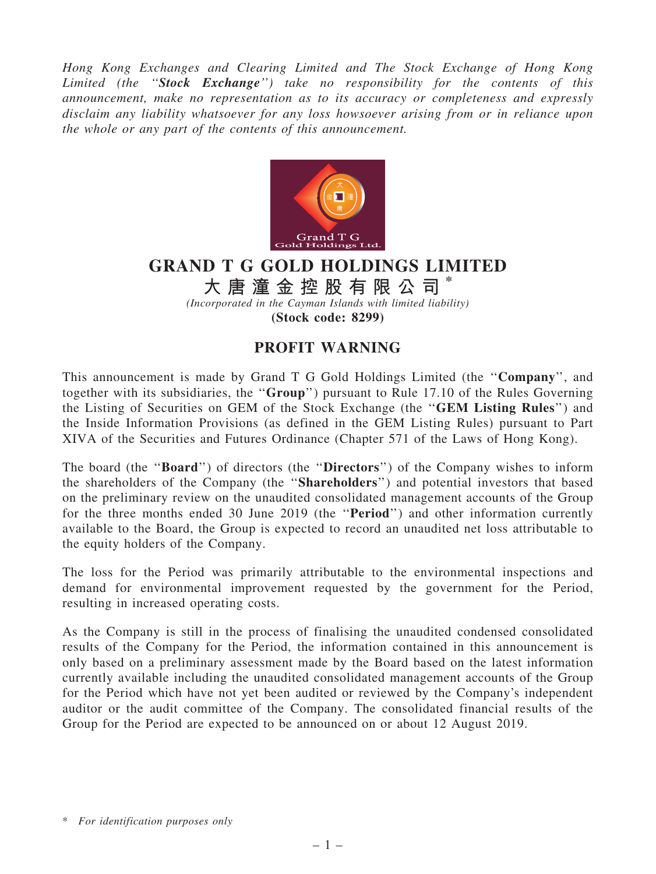Hong Kong Exchanges and Clearing Limited and The Stock Exchange of Hong Kong Limited (the "Stock Exchange") take no responsibility for the contents of this announcement, make no representation as to its accuracy or completeness and expressly disclaim any liability whatsoever for any loss howsoever arising from or in reliance upon the whole or any part of the contents of this announcement.



## GRAND T G GOLD HOLDINGS LIMITED

大 唐 潼 金 控 股 有 限 公 司

(Incorporated in the Cayman Islands with limited liability) (Stock code: 8299)

## PROFIT WARNING

This announcement is made by Grand T G Gold Holdings Limited (the ''Company'', and together with its subsidiaries, the ''Group'') pursuant to Rule 17.10 of the Rules Governing the Listing of Securities on GEM of the Stock Exchange (the ''GEM Listing Rules'') and the Inside Information Provisions (as defined in the GEM Listing Rules) pursuant to Part XIVA of the Securities and Futures Ordinance (Chapter 571 of the Laws of Hong Kong).

The board (the "**Board**") of directors (the "**Directors**") of the Company wishes to inform the shareholders of the Company (the ''Shareholders'') and potential investors that based on the preliminary review on the unaudited consolidated management accounts of the Group for the three months ended 30 June 2019 (the "**Period**") and other information currently available to the Board, the Group is expected to record an unaudited net loss attributable to the equity holders of the Company.

The loss for the Period was primarily attributable to the environmental inspections and demand for environmental improvement requested by the government for the Period, resulting in increased operating costs.

As the Company is still in the process of finalising the unaudited condensed consolidated results of the Company for the Period, the information contained in this announcement is only based on a preliminary assessment made by the Board based on the latest information currently available including the unaudited consolidated management accounts of the Group for the Period which have not yet been audited or reviewed by the Company's independent auditor or the audit committee of the Company. The consolidated financial results of the Group for the Period are expected to be announced on or about 12 August 2019.

<sup>\*</sup> For identification purposes only